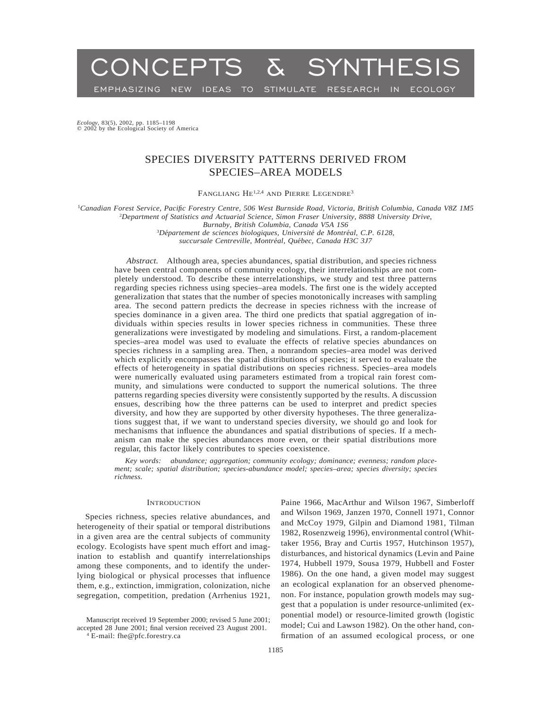# CONCEPTS & SYNTHESIS

EMPHASIZING NEW IDEAS TO STIMULATE RESEARCH IN

**ECOLOGY** 

*Ecology*, 83(5), 2002, pp. 1185-1198<br>© 2002 by the Ecological Society of America

# SPECIES DIVERSITY PATTERNS DERIVED FROM SPECIES–AREA MODELS

FANGLIANG HE<sup>1,2,4</sup> AND PIERRE LEGENDRE<sup>3</sup>

<sup>1</sup>*Canadian Forest Service, Pacific Forestry Centre, 506 West Burnside Road, Victoria, British Columbia, Canada V8Z 1M5* 2 *Department of Statistics and Actuarial Science, Simon Fraser University, 8888 University Drive,*

<sup>3</sup>Département de sciences biologiques, Université de Montréal, C.P. 6128,

*succursale Centreville, Montre´al, Que´bec, Canada H3C 3J7*

*Abstract.* Although area, species abundances, spatial distribution, and species richness have been central components of community ecology, their interrelationships are not completely understood. To describe these interrelationships, we study and test three patterns regarding species richness using species–area models. The first one is the widely accepted generalization that states that the number of species monotonically increases with sampling area. The second pattern predicts the decrease in species richness with the increase of species dominance in a given area. The third one predicts that spatial aggregation of individuals within species results in lower species richness in communities. These three generalizations were investigated by modeling and simulations. First, a random-placement species–area model was used to evaluate the effects of relative species abundances on species richness in a sampling area. Then, a nonrandom species–area model was derived which explicitly encompasses the spatial distributions of species; it served to evaluate the effects of heterogeneity in spatial distributions on species richness. Species–area models were numerically evaluated using parameters estimated from a tropical rain forest community, and simulations were conducted to support the numerical solutions. The three patterns regarding species diversity were consistently supported by the results. A discussion ensues, describing how the three patterns can be used to interpret and predict species diversity, and how they are supported by other diversity hypotheses. The three generalizations suggest that, if we want to understand species diversity, we should go and look for mechanisms that influence the abundances and spatial distributions of species. If a mechanism can make the species abundances more even, or their spatial distributions more regular, this factor likely contributes to species coexistence.

*Key words: abundance; aggregation; community ecology; dominance; evenness; random placement; scale; spatial distribution; species-abundance model; species–area; species diversity; species richness.*

# **INTRODUCTION**

Species richness, species relative abundances, and heterogeneity of their spatial or temporal distributions in a given area are the central subjects of community ecology. Ecologists have spent much effort and imagination to establish and quantify interrelationships among these components, and to identify the underlying biological or physical processes that influence them, e.g., extinction, immigration, colonization, niche segregation, competition, predation (Arrhenius 1921,

taker 1956, Bray and Curtis 1957, Hutchinson 1957), disturbances, and historical dynamics (Levin and Paine 1974, Hubbell 1979, Sousa 1979, Hubbell and Foster 1986). On the one hand, a given model may suggest an ecological explanation for an observed phenomenon. For instance, population growth models may suggest that a population is under resource-unlimited (exponential model) or resource-limited growth (logistic model; Cui and Lawson 1982). On the other hand, confirmation of an assumed ecological process, or one

Paine 1966, MacArthur and Wilson 1967, Simberloff and Wilson 1969, Janzen 1970, Connell 1971, Connor and McCoy 1979, Gilpin and Diamond 1981, Tilman 1982, Rosenzweig 1996), environmental control (Whit-

*Burnaby, British Columbia, Canada V5A 1S6*

Manuscript received 19 September 2000; revised 5 June 2001; accepted 28 June 2001; final version received 23 August 2001.

<sup>4</sup> E-mail: fhe@pfc.forestry.ca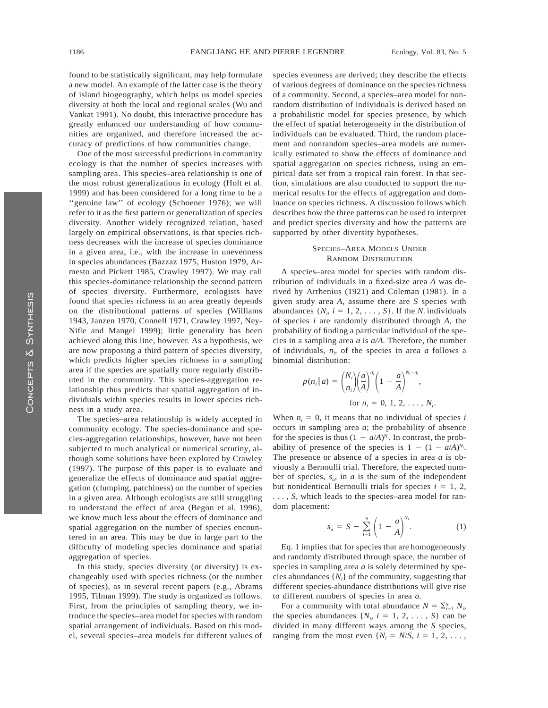found to be statistically significant, may help formulate a new model. An example of the latter case is the theory of island biogeography, which helps us model species diversity at both the local and regional scales (Wu and Vankat 1991). No doubt, this interactive procedure has greatly enhanced our understanding of how communities are organized, and therefore increased the accuracy of predictions of how communities change.

One of the most successful predictions in community ecology is that the number of species increases with sampling area. This species–area relationship is one of the most robust generalizations in ecology (Holt et al. 1999) and has been considered for a long time to be a ''genuine law'' of ecology (Schoener 1976); we will refer to it as the first pattern or generalization of species diversity. Another widely recognized relation, based largely on empirical observations, is that species richness decreases with the increase of species dominance in a given area, i.e., with the increase in unevenness in species abundances (Bazzaz 1975, Huston 1979, Armesto and Pickett 1985, Crawley 1997). We may call this species-dominance relationship the second pattern of species diversity. Furthermore, ecologists have found that species richness in an area greatly depends on the distributional patterns of species (Williams 1943, Janzen 1970, Connell 1971, Crawley 1997, Ney-Nifle and Mangel 1999); little generality has been achieved along this line, however. As a hypothesis, we are now proposing a third pattern of species diversity, which predicts higher species richness in a sampling area if the species are spatially more regularly distributed in the community. This species-aggregation relationship thus predicts that spatial aggregation of individuals within species results in lower species richness in a study area.

The species–area relationship is widely accepted in community ecology. The species-dominance and species-aggregation relationships, however, have not been subjected to much analytical or numerical scrutiny, although some solutions have been explored by Crawley (1997). The purpose of this paper is to evaluate and generalize the effects of dominance and spatial aggregation (clumping, patchiness) on the number of species in a given area. Although ecologists are still struggling to understand the effect of area (Begon et al. 1996), we know much less about the effects of dominance and spatial aggregation on the number of species encountered in an area. This may be due in large part to the difficulty of modeling species dominance and spatial aggregation of species.

In this study, species diversity (or diversity) is exchangeably used with species richness (or the number of species), as in several recent papers (e.g., Abrams 1995, Tilman 1999). The study is organized as follows. First, from the principles of sampling theory, we introduce the species–area model for species with random spatial arrangement of individuals. Based on this model, several species–area models for different values of species evenness are derived; they describe the effects of various degrees of dominance on the species richness of a community. Second, a species–area model for nonrandom distribution of individuals is derived based on a probabilistic model for species presence, by which the effect of spatial heterogeneity in the distribution of individuals can be evaluated. Third, the random placement and nonrandom species–area models are numerically estimated to show the effects of dominance and spatial aggregation on species richness, using an empirical data set from a tropical rain forest. In that section, simulations are also conducted to support the numerical results for the effects of aggregation and dominance on species richness. A discussion follows which describes how the three patterns can be used to interpret and predict species diversity and how the patterns are supported by other diversity hypotheses.

# SPECIES–AREA MODELS UNDER RANDOM DISTRIBUTION

A species–area model for species with random distribution of individuals in a fixed-size area *A* was derived by Arrhenius (1921) and Coleman (1981). In a given study area *A,* assume there are *S* species with abundances  $\{N_i, i = 1, 2, \ldots, S\}$ . If the  $N_i$  individuals of species *i* are randomly distributed through *A,* the probability of finding a particular individual of the species in a sampling area *a* is *a/A.* Therefore, the number of individuals, *ni* , of the species in area *a* follows a binomial distribution:

$$
p(n_i|a) = {N_i \choose n_i} \left(\frac{a}{A}\right)^{n_i} \left(1 - \frac{a}{A}\right)^{N_i - n_i},
$$
  
for  $n_i = 0, 1, 2, ..., N_i$ .

When  $n_i = 0$ , it means that no individual of species *i* occurs in sampling area *a*; the probability of absence for the species is thus  $(1 - a/A)^{N_i}$ . In contrast, the probability of presence of the species is  $1 - (1 - a/A)^{N_i}$ . The presence or absence of a species in area *a* is obviously a Bernoulli trial. Therefore, the expected number of species,  $s_a$ , in  $a$  is the sum of the independent but nonidentical Bernoulli trials for species  $i = 1, 2,$ ..., *S,* which leads to the species–area model for random placement:

$$
s_a = S - \sum_{i=1}^{S} \left( 1 - \frac{a}{A} \right)^{N_i}.
$$
 (1)

Eq. 1 implies that for species that are homogeneously and randomly distributed through space, the number of species in sampling area *a* is solely determined by species abundances  $\{N_i\}$  of the community, suggesting that different species-abundance distributions will give rise to different numbers of species in area *a.*

For a community with total abundance  $N = \sum_{i=1}^{S} N_i$ , the species abundances  $\{N_i, i = 1, 2, ..., S\}$  can be divided in many different ways among the *S* species, ranging from the most even  $\{N_i = N/S, i = 1, 2, \ldots\}$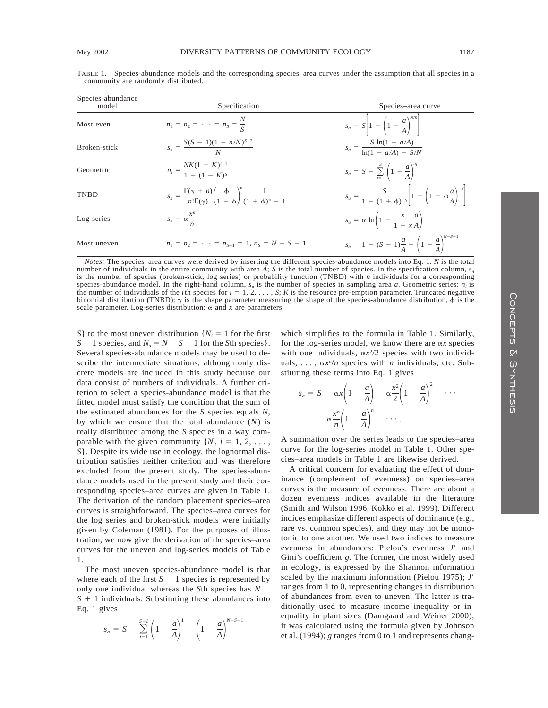| Species-abundance<br>model | Specification                                                                                                              | Species-area curve                                                                                          |  |
|----------------------------|----------------------------------------------------------------------------------------------------------------------------|-------------------------------------------------------------------------------------------------------------|--|
| Most even                  | $n_1 = n_2 = \cdots = n_s = \frac{N}{s}$                                                                                   | $s_a = S\left 1 - \left(1 - \frac{a}{A}\right)^{N/3}\right $                                                |  |
| Broken-stick               | $s_n = \frac{S(S-1)(1 - n/N)^{s-2}}{N}$                                                                                    | $s_a = \frac{S \ln(1 - a/A)}{\ln(1 - a/A) - S/N}$                                                           |  |
| Geometric                  | $n_i = \frac{NK(1 - K)^{i-1}}{1 - (1 - K)^s}$                                                                              | $s_a = S - \sum_{i=1}^{3} \left(1 - \frac{a}{4}\right)^{n_i}$                                               |  |
| <b>TNBD</b>                | $s_n = \frac{\Gamma(\gamma + n)}{n!\Gamma(\gamma)} \left(\frac{\phi}{1 + \phi}\right)^2 \frac{1}{(1 + \phi)^{\gamma} - 1}$ | $s_a = \frac{S}{1 - (1 + \phi)^{-\gamma}} \left[ 1 - \left( 1 + \phi \frac{a}{A} \right)^{-\gamma} \right]$ |  |
| Log series                 | $s_n = \alpha \frac{x^n}{n}$                                                                                               | $s_a = \alpha \ln \left(1 + \frac{x}{1-x} \frac{a}{A}\right)$                                               |  |
| Most uneven                | $n_1 = n_2 = \cdots = n_{S-1} = 1, n_S = N - S + 1$                                                                        | $s_a = 1 + (S - 1)\frac{a}{4} - \left(1 - \frac{a}{4}\right)^{N-S+1}$                                       |  |

TABLE 1. Species-abundance models and the corresponding species–area curves under the assumption that all species in a community are randomly distributed.

*Notes:* The species–area curves were derived by inserting the different species-abundance models into Eq. 1. *N* is the total number of individuals in the entire community with area  $\vec{A}$ ;  $\vec{S}$  is the total number of species. In the specification column,  $s_n$ is the number of species (broken-stick, log series) or probability function (TNBD) with *n* individuals for a corresponding species-abundance model. In the right-hand column,  $s_a$  is the number of species in sampling area a. Geometric series:  $n_i$  is the number of individuals of the *i*th species for  $i = 1, 2, ..., S$ ; K is the resource pre-emption binomial distribution (TNBD):  $\gamma$  is the shape parameter measuring the shape of the species-abundance distribution,  $\phi$  is the scale parameter. Log-series distribution:  $\alpha$  and  $x$  are parameters.

*S*} to the most uneven distribution  $\{N_i = 1 \text{ for the first }$  $S - 1$  species, and  $N_s = N - S + 1$  for the *S*th species}. Several species-abundance models may be used to describe the intermediate situations, although only discrete models are included in this study because our data consist of numbers of individuals. A further criterion to select a species-abundance model is that the fitted model must satisfy the condition that the sum of the estimated abundances for the *S* species equals *N,* by which we ensure that the total abundance (*N*) is really distributed among the *S* species in a way comparable with the given community  $\{N_i, i = 1, 2, \ldots\}$ *S*}. Despite its wide use in ecology, the lognormal distribution satisfies neither criterion and was therefore excluded from the present study. The species-abundance models used in the present study and their corresponding species–area curves are given in Table 1. The derivation of the random placement species–area curves is straightforward. The species–area curves for the log series and broken-stick models were initially given by Coleman (1981). For the purposes of illustration, we now give the derivation of the species–area curves for the uneven and log-series models of Table 1.

The most uneven species-abundance model is that where each of the first  $S - 1$  species is represented by only one individual whereas the *S*th species has  $N S + 1$  individuals. Substituting these abundances into Eq. 1 gives

$$
s_a = S - \sum_{i=1}^{S-1} \left( 1 - \frac{a}{A} \right)^1 - \left( 1 - \frac{a}{A} \right)^{N-S+1}
$$

which simplifies to the formula in Table 1. Similarly, for the log-series model, we know there are  $\alpha x$  species with one individuals,  $\alpha x^2/2$  species with two individuals, ...,  $\alpha x^n/n$  species with *n* individuals, etc. Substituting these terms into Eq. 1 gives

$$
s_a = S - \alpha x \left( 1 - \frac{a}{A} \right) - \alpha \frac{x^2}{2} \left( 1 - \frac{a}{A} \right)^2 - \dots
$$

$$
- \alpha \frac{x^n}{n} \left( 1 - \frac{a}{A} \right)^n - \dots
$$

A summation over the series leads to the species–area curve for the log-series model in Table 1. Other species–area models in Table 1 are likewise derived.

A critical concern for evaluating the effect of dominance (complement of evenness) on species–area curves is the measure of evenness. There are about a dozen evenness indices available in the literature (Smith and Wilson 1996, Kokko et al. 1999). Different indices emphasize different aspects of dominance (e.g., rare vs. common species), and they may not be monotonic to one another. We used two indices to measure evenness in abundances: Pielou's evenness *J'* and Gini's coefficient *g.* The former, the most widely used in ecology, is expressed by the Shannon information scaled by the maximum information (Pielou 1975); *J'* ranges from 1 to 0, representing changes in distribution of abundances from even to uneven. The latter is traditionally used to measure income inequality or inequality in plant sizes (Damgaard and Weiner 2000); it was calculated using the formula given by Johnson et al. (1994); *g* ranges from 0 to 1 and represents chang-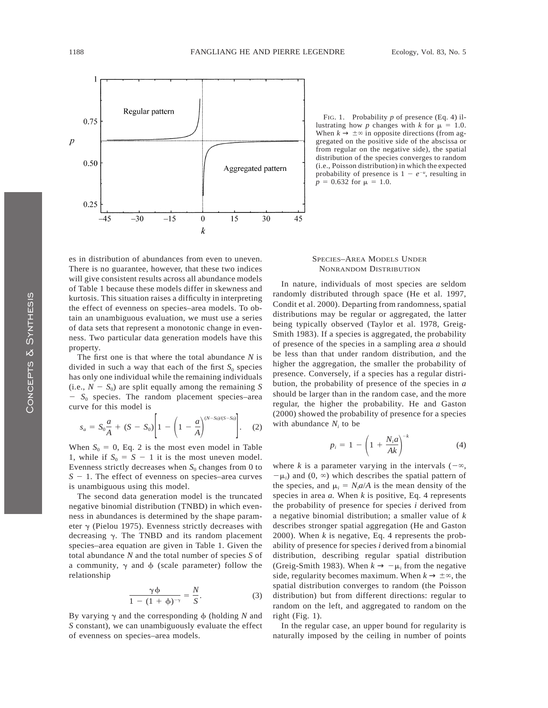

es in distribution of abundances from even to uneven. There is no guarantee, however, that these two indices will give consistent results across all abundance models of Table 1 because these models differ in skewness and kurtosis. This situation raises a difficulty in interpreting the effect of evenness on species–area models. To obtain an unambiguous evaluation, we must use a series of data sets that represent a monotonic change in evenness. Two particular data generation models have this property.

The first one is that where the total abundance *N* is divided in such a way that each of the first  $S_0$  species has only one individual while the remaining individuals (i.e.,  $N - S_0$ ) are split equally among the remaining *S*  $- S_0$  species. The random placement species–area curve for this model is

$$
s_a = S_0 \frac{a}{A} + (S - S_0) \left[ 1 - \left( 1 - \frac{a}{A} \right)^{(N - S_0)/(S - S_0)} \right].
$$
 (2)

When  $S_0 = 0$ , Eq. 2 is the most even model in Table 1, while if  $S_0 = S - 1$  it is the most uneven model. Evenness strictly decreases when  $S_0$  changes from 0 to  $S - 1$ . The effect of evenness on species–area curves is unambiguous using this model.

The second data generation model is the truncated negative binomial distribution (TNBD) in which evenness in abundances is determined by the shape parameter  $\gamma$  (Pielou 1975). Evenness strictly decreases with decreasing  $\gamma$ . The TNBD and its random placement species–area equation are given in Table 1. Given the total abundance *N* and the total number of species *S* of a community,  $\gamma$  and  $\phi$  (scale parameter) follow the relationship

$$
\frac{\gamma \Phi}{1 - (1 + \phi)^{-\gamma}} = \frac{N}{S}.
$$
 (3)

By varying  $\gamma$  and the corresponding  $\phi$  (holding *N* and *S* constant), we can unambiguously evaluate the effect of evenness on species–area models.

FIG. 1. Probability *p* of presence (Eq. 4) illustrating how *p* changes with *k* for  $\mu = 1.0$ . When  $k \to \pm \infty$  in opposite directions (from aggregated on the positive side of the abscissa or from regular on the negative side), the spatial distribution of the species converges to random (i.e., Poisson distribution) in which the expected probability of presence is  $1 - e^{-u}$ , resulting in  $p = 0.632$  for  $\mu = 1.0$ .

# SPECIES–AREA MODELS UNDER NONRANDOM DISTRIBUTION

In nature, individuals of most species are seldom randomly distributed through space (He et al. 1997, Condit et al. 2000). Departing from randomness, spatial distributions may be regular or aggregated, the latter being typically observed (Taylor et al. 1978, Greig-Smith 1983). If a species is aggregated, the probability of presence of the species in a sampling area *a* should be less than that under random distribution, and the higher the aggregation, the smaller the probability of presence. Conversely, if a species has a regular distribution, the probability of presence of the species in *a* should be larger than in the random case, and the more regular, the higher the probability. He and Gaston (2000) showed the probability of presence for a species with abundance  $N_i$  to be

$$
p_i = 1 - \left(1 + \frac{N_i a}{Ak}\right)^{-k} \tag{4}
$$

where *k* is a parameter varying in the intervals  $(-\infty,$  $-\mu_i$ ) and (0,  $\infty$ ) which describes the spatial pattern of the species, and  $\mu_i = N_i a / A$  is the mean density of the species in area *a.* When *k* is positive, Eq. 4 represents the probability of presence for species *i* derived from a negative binomial distribution; a smaller value of *k* describes stronger spatial aggregation (He and Gaston 2000). When *k* is negative, Eq. 4 represents the probability of presence for species *i* derived from a binomial distribution, describing regular spatial distribution (Greig-Smith 1983). When  $k \to -\mu_i$  from the negative side, regularity becomes maximum. When  $k \to \pm \infty$ , the spatial distribution converges to random (the Poisson distribution) but from different directions: regular to random on the left, and aggregated to random on the right (Fig. 1).

In the regular case, an upper bound for regularity is naturally imposed by the ceiling in number of points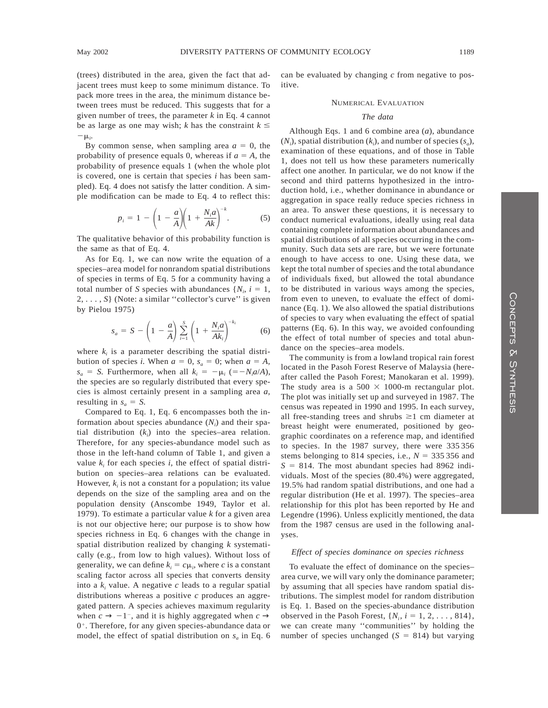(trees) distributed in the area, given the fact that adjacent trees must keep to some minimum distance. To pack more trees in the area, the minimum distance between trees must be reduced. This suggests that for a given number of trees, the parameter *k* in Eq. 4 cannot be as large as one may wish; *k* has the constraint  $k \leq$  $-\mu_i$ .

By common sense, when sampling area  $a = 0$ , the probability of presence equals 0, whereas if  $a = A$ , the probability of presence equals 1 (when the whole plot is covered, one is certain that species *i* has been sampled). Eq. 4 does not satisfy the latter condition. A simple modification can be made to Eq. 4 to reflect this:

$$
p_i = 1 - \left(1 - \frac{a}{A}\right)\left(1 + \frac{N_i a}{Ak}\right)^{-k}.\tag{5}
$$

The qualitative behavior of this probability function is the same as that of Eq. 4.

As for Eq. 1, we can now write the equation of a species–area model for nonrandom spatial distributions of species in terms of Eq. 5 for a community having a total number of *S* species with abundances  $\{N_i, i = 1, \}$ 2, . . . , *S*} (Note: a similar ''collector's curve'' is given by Pielou 1975)

$$
s_a = S - \left(1 - \frac{a}{A}\right) \sum_{i=1}^{S} \left(1 + \frac{N_i a}{Ak_i}\right)^{-k_i}
$$
 (6)

where  $k_i$  is a parameter describing the spatial distribution of species *i*. When  $a = 0$ ,  $s_a = 0$ ; when  $a = A$ ,  $s_a = S$ . Furthermore, when all  $k_i = -\mu_i$  (= -*N<sub>i</sub>a/A*), the species are so regularly distributed that every species is almost certainly present in a sampling area *a,* resulting in  $s_a = S$ .

Compared to Eq. 1, Eq. 6 encompasses both the information about species abundance  $(N<sub>i</sub>)$  and their spatial distribution  $(k_i)$  into the species–area relation. Therefore, for any species-abundance model such as those in the left-hand column of Table 1, and given a value  $k_i$  for each species  $i$ , the effect of spatial distribution on species–area relations can be evaluated. However,  $k_i$  is not a constant for a population; its value depends on the size of the sampling area and on the population density (Anscombe 1949, Taylor et al. 1979). To estimate a particular value *k* for a given area is not our objective here; our purpose is to show how species richness in Eq. 6 changes with the change in spatial distribution realized by changing *k* systematically (e.g., from low to high values). Without loss of generality, we can define  $k_i = c\mu_i$ , where *c* is a constant scaling factor across all species that converts density into a  $k_i$  value. A negative  $c$  leads to a regular spatial distributions whereas a positive *c* produces an aggregated pattern. A species achieves maximum regularity when  $c \rightarrow -1^-$ , and it is highly aggregated when  $c \rightarrow$  $0^+$ . Therefore, for any given species-abundance data or model, the effect of spatial distribution on  $s_a$  in Eq. 6 can be evaluated by changing *c* from negative to positive.

#### NUMERICAL EVALUATION

#### *The data*

Although Eqs. 1 and 6 combine area (*a*), abundance  $(N_i)$ , spatial distribution  $(k_i)$ , and number of species  $(s_a)$ , examination of these equations, and of those in Table 1, does not tell us how these parameters numerically affect one another. In particular, we do not know if the second and third patterns hypothesized in the introduction hold, i.e., whether dominance in abundance or aggregation in space really reduce species richness in an area. To answer these questions, it is necessary to conduct numerical evaluations, ideally using real data containing complete information about abundances and spatial distributions of all species occurring in the community. Such data sets are rare, but we were fortunate enough to have access to one. Using these data, we kept the total number of species and the total abundance of individuals fixed, but allowed the total abundance to be distributed in various ways among the species, from even to uneven, to evaluate the effect of dominance (Eq. 1). We also allowed the spatial distributions of species to vary when evaluating the effect of spatial patterns (Eq. 6). In this way, we avoided confounding the effect of total number of species and total abundance on the species–area models.

The community is from a lowland tropical rain forest located in the Pasoh Forest Reserve of Malaysia (hereafter called the Pasoh Forest; Manokaran et al. 1999). The study area is a 500  $\times$  1000-m rectangular plot. The plot was initially set up and surveyed in 1987. The census was repeated in 1990 and 1995. In each survey, all free-standing trees and shrubs  $\geq 1$  cm diameter at breast height were enumerated, positioned by geographic coordinates on a reference map, and identified to species. In the 1987 survey, there were 335 356 stems belonging to 814 species, i.e.,  $N = 335356$  and  $S = 814$ . The most abundant species had 8962 individuals. Most of the species (80.4%) were aggregated, 19.5% had random spatial distributions, and one had a regular distribution (He et al. 1997). The species–area relationship for this plot has been reported by He and Legendre (1996). Unless explicitly mentioned, the data from the 1987 census are used in the following analyses.

#### *Effect of species dominance on species richness*

To evaluate the effect of dominance on the species– area curve, we will vary only the dominance parameter; by assuming that all species have random spatial distributions. The simplest model for random distribution is Eq. 1. Based on the species-abundance distribution observed in the Pasoh Forest,  $\{N_i, i = 1, 2, \ldots, 814\}$ , we can create many ''communities'' by holding the number of species unchanged  $(S = 814)$  but varying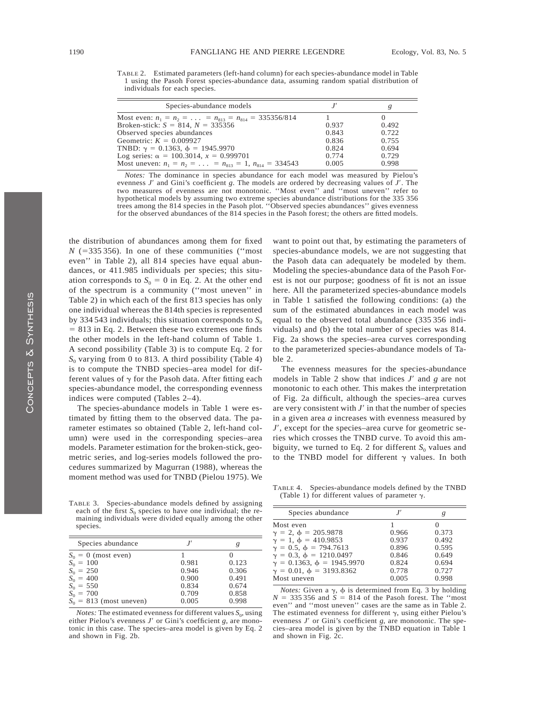TABLE 2. Estimated parameters (left-hand column) for each species-abundance model in Table 1 using the Pasoh Forest species-abundance data, assuming random spatial distribution of individuals for each species.

| 0.937 | 0.492 |
|-------|-------|
| 0.843 | 0.722 |
| 0.836 | 0.755 |
| 0.824 | 0.694 |
| 0.774 | 0.729 |
| 0.005 | 0.998 |
|       |       |

*Notes:* The dominance in species abundance for each model was measured by Pielou's evenness *J'* and Gini's coefficient *g*. The models are ordered by decreasing values of *J'*. The two measures of evenness are not monotonic. ''Most even'' and ''most uneven'' refer to hypothetical models by assuming two extreme species abundance distributions for the 335 356 trees among the 814 species in the Pasoh plot. ''Observed species abundances'' gives evenness for the observed abundances of the 814 species in the Pasoh forest; the others are fitted models.

the distribution of abundances among them for fixed  $N$  (=335 356). In one of these communities ("most even'' in Table 2), all 814 species have equal abundances, or 411.985 individuals per species; this situation corresponds to  $S_0 = 0$  in Eq. 2. At the other end of the spectrum is a community (''most uneven'' in Table 2) in which each of the first 813 species has only one individual whereas the 814th species is represented by 334 543 individuals; this situation corresponds to  $S_0$  $= 813$  in Eq. 2. Between these two extremes one finds the other models in the left-hand column of Table 1. A second possibility (Table 3) is to compute Eq. 2 for  $S_0$  varying from 0 to 813. A third possibility (Table 4) is to compute the TNBD species–area model for different values of  $\gamma$  for the Pasoh data. After fitting each species-abundance model, the corresponding evenness indices were computed (Tables 2–4).

The species-abundance models in Table 1 were estimated by fitting them to the observed data. The parameter estimates so obtained (Table 2, left-hand column) were used in the corresponding species–area models. Parameter estimation for the broken-stick, geometric series, and log-series models followed the procedures summarized by Magurran (1988), whereas the moment method was used for TNBD (Pielou 1975). We

TABLE 3. Species-abundance models defined by assigning each of the first  $S_0$  species to have one individual; the remaining individuals were divided equally among the other species.

| Species abundance         |       |       |
|---------------------------|-------|-------|
| $S_0 = 0$ (most even)     |       |       |
| $S_0 = 100$               | 0.981 | 0.123 |
| $S_0 = 250$               | 0.946 | 0.306 |
| $S_0 = 400$               | 0.900 | 0.491 |
| $S_0 = 550$               | 0.834 | 0.674 |
| $S_0 = 700$               | 0.709 | 0.858 |
| $S_0 = 813$ (most uneven) | 0.005 | 0.998 |

*Notes:* The estimated evenness for different values  $S_0$ , using either Pielou's evenness  $J'$  or Gini's coefficient  $g$ , are monotonic in this case. The species–area model is given by Eq. 2 and shown in Fig. 2b.

want to point out that, by estimating the parameters of species-abundance models, we are not suggesting that the Pasoh data can adequately be modeled by them. Modeling the species-abundance data of the Pasoh Forest is not our purpose; goodness of fit is not an issue here. All the parameterized species-abundance models in Table 1 satisfied the following conditions: (a) the sum of the estimated abundances in each model was equal to the observed total abundance (335 356 individuals) and (b) the total number of species was 814. Fig. 2a shows the species–area curves corresponding to the parameterized species-abundance models of Table 2.

The evenness measures for the species-abundance models in Table 2 show that indices  $J'$  and  $g$  are not monotonic to each other. This makes the interpretation of Fig. 2a difficult, although the species–area curves are very consistent with  $J'$  in that the number of species in a given area *a* increases with evenness measured by *J'*, except for the species–area curve for geometric series which crosses the TNBD curve. To avoid this ambiguity, we turned to Eq. 2 for different  $S_0$  values and to the TNBD model for different  $\gamma$  values. In both

TABLE 4. Species-abundance models defined by the TNBD (Table 1) for different values of parameter  $\gamma$ .

| Species abundance                      |       |       |
|----------------------------------------|-------|-------|
| Most even                              |       |       |
| $\gamma = 2$ , $\phi = 205.9878$       | 0.966 | 0.373 |
| $\gamma = 1, \, \phi = 410.9853$       | 0.937 | 0.492 |
| $\gamma = 0.5$ , $\phi = 794.7613$     | 0.896 | 0.595 |
| $\gamma = 0.3$ , $\phi = 1210.0497$    | 0.846 | 0.649 |
| $\gamma = 0.1363$ , $\phi = 1945.9970$ | 0.824 | 0.694 |
| $\gamma = 0.01, \phi = 3193.8362$      | 0.778 | 0.727 |
| Most uneven                            | 0.005 | 0.998 |
|                                        |       |       |

*Notes:* Given a  $\gamma$ ,  $\phi$  is determined from Eq. 3 by holding  $N = 335356$  and  $S = 814$  of the Pasoh forest. The "most" even'' and ''most uneven'' cases are the same as in Table 2. The estimated evenness for different  $\gamma$ , using either Pielou's evenness *J'* or Gini's coefficient *g*, are monotonic. The species–area model is given by the TNBD equation in Table 1 and shown in Fig. 2c.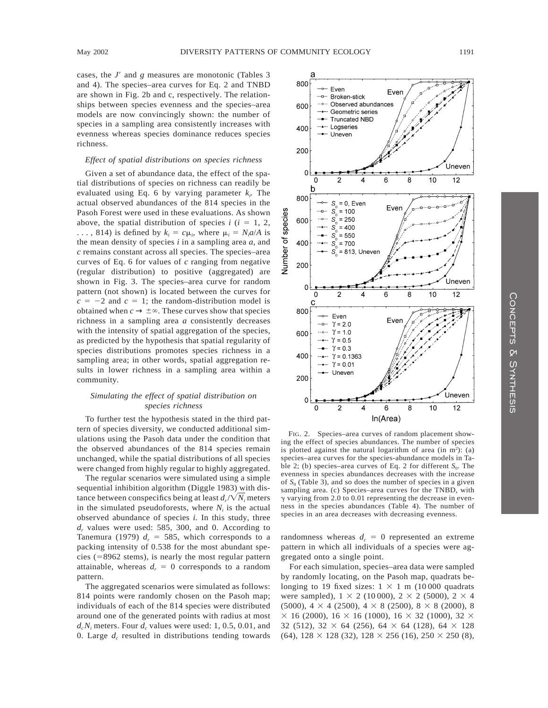cases, the *J'* and *g* measures are monotonic (Tables 3) and 4). The species–area curves for Eq. 2 and TNBD are shown in Fig. 2b and c, respectively. The relationships between species evenness and the species–area models are now convincingly shown: the number of species in a sampling area consistently increases with evenness whereas species dominance reduces species richness.

#### *Effect of spatial distributions on species richness*

Given a set of abundance data, the effect of the spatial distributions of species on richness can readily be evaluated using Eq. 6 by varying parameter  $k_i$ . The actual observed abundances of the 814 species in the Pasoh Forest were used in these evaluations. As shown above, the spatial distribution of species  $i$  ( $i = 1, 2,$ ..., 814) is defined by  $k_i = c\mu_i$ , where  $\mu_i = N_i a/A$  is the mean density of species *i* in a sampling area *a,* and *c* remains constant across all species. The species–area curves of Eq. 6 for values of *c* ranging from negative (regular distribution) to positive (aggregated) are shown in Fig. 3. The species–area curve for random pattern (not shown) is located between the curves for  $c = -2$  and  $c = 1$ ; the random-distribution model is obtained when  $c \to \pm \infty$ . These curves show that species richness in a sampling area *a* consistently decreases with the intensity of spatial aggregation of the species, as predicted by the hypothesis that spatial regularity of species distributions promotes species richness in a sampling area; in other words, spatial aggregation results in lower richness in a sampling area within a community.

# *Simulating the effect of spatial distribution on species richness*

To further test the hypothesis stated in the third pattern of species diversity, we conducted additional simulations using the Pasoh data under the condition that the observed abundances of the 814 species remain unchanged, while the spatial distributions of all species were changed from highly regular to highly aggregated.

The regular scenarios were simulated using a simple sequential inhibition algorithm (Diggle 1983) with distance between conspecifics being at least  $d_r/\sqrt{N_i}$  meters in the simulated pseudoforests, where  $N_i$  is the actual observed abundance of species *i.* In this study, three *dr* values were used: 585, 300, and 0. According to Tanemura (1979)  $d_r = 585$ , which corresponds to a packing intensity of 0.538 for the most abundant species  $(=8962 \text{ stems})$ , is nearly the most regular pattern attainable, whereas  $d_r = 0$  corresponds to a random pattern.

The aggregated scenarios were simulated as follows: 814 points were randomly chosen on the Pasoh map; individuals of each of the 814 species were distributed around one of the generated points with radius at most  $d_cN_i$  meters. Four  $d_c$  values were used: 1, 0.5, 0.01, and 0. Large  $d_c$  resulted in distributions tending towards



FIG. 2. Species–area curves of random placement showing the effect of species abundances. The number of species is plotted against the natural logarithm of area (in  $m^2$ ): (a) species–area curves for the species-abundance models in Table 2; (b) species–area curves of Eq. 2 for different  $S_0$ . The evenness in species abundances decreases with the increase of  $S_0$  (Table 3), and so does the number of species in a given sampling area. (c) Species–area curves for the TNBD, with  $\gamma$  varying from 2.0 to 0.01 representing the decrease in evenness in the species abundances (Table 4). The number of species in an area decreases with decreasing evenness.

randomness whereas  $d_c = 0$  represented an extreme pattern in which all individuals of a species were aggregated onto a single point.

For each simulation, species–area data were sampled by randomly locating, on the Pasoh map, quadrats belonging to 19 fixed sizes:  $1 \times 1$  m (10000 quadrats were sampled),  $1 \times 2$  (10 000),  $2 \times 2$  (5000),  $2 \times 4$  $(5000)$ ,  $4 \times 4$  (2500),  $4 \times 8$  (2500),  $8 \times 8$  (2000), 8  $\times$  16 (2000), 16  $\times$  16 (1000), 16  $\times$  32 (1000), 32  $\times$ 32 (512),  $32 \times 64$  (256),  $64 \times 64$  (128),  $64 \times 128$  $(64)$ , 128  $\times$  128 (32), 128  $\times$  256 (16), 250  $\times$  250 (8),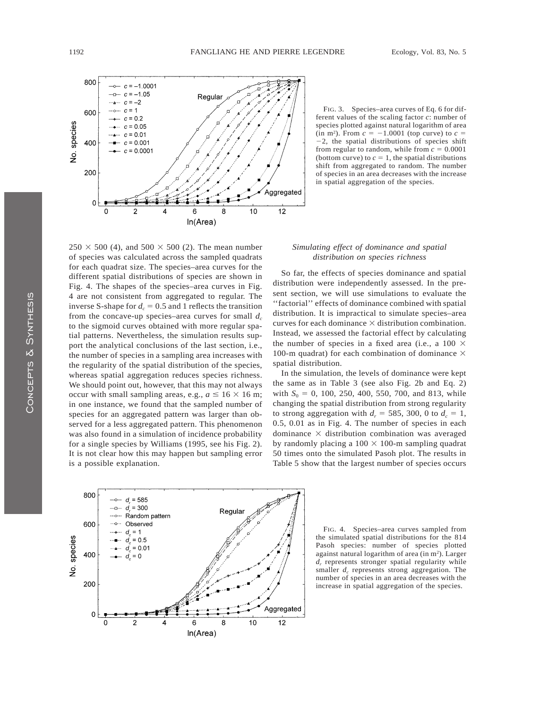

FIG. 3. Species–area curves of Eq. 6 for different values of the scaling factor *c*: number of species plotted against natural logarithm of area  $(in m<sup>2</sup>)$ . From  $c = -1.0001$  (top curve) to  $c =$ -2, the spatial distributions of species shift from regular to random, while from  $c = 0.0001$ (bottom curve) to  $c = 1$ , the spatial distributions shift from aggregated to random. The number of species in an area decreases with the increase in spatial aggregation of the species.

 $250 \times 500$  (4), and  $500 \times 500$  (2). The mean number of species was calculated across the sampled quadrats for each quadrat size. The species–area curves for the different spatial distributions of species are shown in Fig. 4. The shapes of the species–area curves in Fig. 4 are not consistent from aggregated to regular. The inverse S-shape for  $d_c = 0.5$  and 1 reflects the transition from the concave-up species–area curves for small  $d_c$ to the sigmoid curves obtained with more regular spatial patterns. Nevertheless, the simulation results support the analytical conclusions of the last section, i.e., the number of species in a sampling area increases with the regularity of the spatial distribution of the species, whereas spatial aggregation reduces species richness. We should point out, however, that this may not always occur with small sampling areas, e.g.,  $a \le 16 \times 16$  m; in one instance, we found that the sampled number of species for an aggregated pattern was larger than observed for a less aggregated pattern. This phenomenon was also found in a simulation of incidence probability for a single species by Williams (1995, see his Fig. 2). It is not clear how this may happen but sampling error is a possible explanation.

# *Simulating effect of dominance and spatial distribution on species richness*

So far, the effects of species dominance and spatial distribution were independently assessed. In the present section, we will use simulations to evaluate the "factorial" effects of dominance combined with spatial distribution. It is impractical to simulate species–area curves for each dominance  $\times$  distribution combination. Instead, we assessed the factorial effect by calculating the number of species in a fixed area (i.e., a 100  $\times$ 100-m quadrat) for each combination of dominance  $\times$ spatial distribution.

In the simulation, the levels of dominance were kept the same as in Table 3 (see also Fig. 2b and Eq. 2) with  $S_0 = 0$ , 100, 250, 400, 550, 700, and 813, while changing the spatial distribution from strong regularity to strong aggregation with  $d_r = 585$ , 300, 0 to  $d_c = 1$ , 0.5, 0.01 as in Fig. 4. The number of species in each dominance  $\times$  distribution combination was averaged by randomly placing a  $100 \times 100$ -m sampling quadrat 50 times onto the simulated Pasoh plot. The results in Table 5 show that the largest number of species occurs



FIG. 4. Species–area curves sampled from the simulated spatial distributions for the 814 Pasoh species: number of species plotted against natural logarithm of area (in m2). Larger  $d_r$  represents stronger spatial regularity while smaller  $d_c$  represents strong aggregation. The number of species in an area decreases with the increase in spatial aggregation of the species.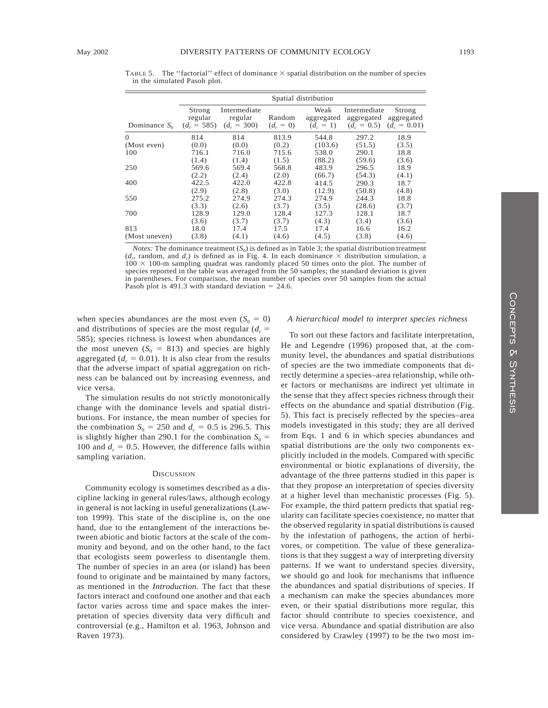| Spatial distribution |                                          |                         |                       |                                                   |                                          |
|----------------------|------------------------------------------|-------------------------|-----------------------|---------------------------------------------------|------------------------------------------|
| Strong<br>regular    | Intermediate<br>regular<br>$(d_r = 300)$ | Random<br>$(d_{r} = 0)$ | Weak<br>$(d_{c} = 1)$ | Intermediate<br>aggregated<br>$(d_{\circ} = 0.5)$ | Strong<br>aggregated<br>$(d_{c} = 0.01)$ |
| 814                  | 814                                      | 813.9                   | 544.8                 | 297.2                                             | 18.9                                     |
| (0.0)                | (0.0)                                    | (0.2)                   | (103.6)               | (51.5)                                            | (3.5)                                    |
| 716.1                | 716.0                                    | 715.6                   | 538.0                 | 290.1                                             | 18.8                                     |
| (1.4)                | (1.4)                                    | (1.5)                   | (88.2)                | (59.6)                                            | (3.6)                                    |
| 569.6                | 569.4                                    | 568.8                   | 483.9                 | 296.5                                             | 18.9                                     |
| (2.2)                | (2.4)                                    | (2.0)                   | (66.7)                | (54.3)                                            | (4.1)                                    |
| 422.5                | 422.0                                    | 422.8                   | 414.5                 | 290.3                                             | 18.7                                     |
| (2.9)                | (2.8)                                    | (3.0)                   | (12.9)                | (50.8)                                            | (4.8)                                    |
| 275.2                | 274.9                                    | 274.3                   | 274.9                 | 244.3                                             | 18.8                                     |
| (3.3)                | (2.6)                                    | (3.7)                   | (3.5)                 | (28.6)                                            | (3.7)                                    |
| 128.9                | 129.0                                    | 128.4                   | 127.3                 | 128.1                                             | 18.7                                     |
| (3.6)                | (3.7)                                    | (3.7)                   | (4.3)                 | (3.4)                                             | (3.6)                                    |
| 18.0                 | 17.4                                     | 17.5                    | 17.4                  | 16.6                                              | 16.2                                     |
| (3.8)                | (4.1)                                    | (4.6)                   | (4.5)                 | (3.8)                                             | (4.6)                                    |
|                      |                                          | $(d_{r} = 585)$         |                       |                                                   | aggregated                               |

TABLE 5. The "factorial" effect of dominance  $\times$  spatial distribution on the number of species in the simulated Pasoh plot.

*Notes:* The dominance treatment  $(S_0)$  is defined as in Table 3; the spatial distribution treatment  $(d_r, \text{random}, \text{and } d_c)$  is defined as in Fig. 4. In each dominance  $\times$  distribution simulation, a  $100 \times 100$ -m sampling quadrat was randomly placed 50 times onto the plot. The number of species reported in the table was averaged from the 50 samples; the standard deviation is given in parentheses. For comparison, the mean number of species over 50 samples from the actual Pasoh plot is 491.3 with standard deviation  $= 24.6$ .

when species abundances are the most even  $(S_0 = 0)$ and distributions of species are the most regular  $(d_r =$ 585); species richness is lowest when abundances are the most uneven  $(S_0 = 813)$  and species are highly aggregated ( $d_c = 0.01$ ). It is also clear from the results that the adverse impact of spatial aggregation on richness can be balanced out by increasing evenness, and vice versa.

The simulation results do not strictly monotonically change with the dominance levels and spatial distributions. For instance, the mean number of species for the combination  $S_0 = 250$  and  $d_c = 0.5$  is 296.5. This is slightly higher than 290.1 for the combination  $S_0$  = 100 and  $d_c = 0.5$ . However, the difference falls within sampling variation.

#### **DISCUSSION**

Community ecology is sometimes described as a discipline lacking in general rules/laws, although ecology in general is not lacking in useful generalizations (Lawton 1999). This state of the discipline is, on the one hand, due to the entanglement of the interactions between abiotic and biotic factors at the scale of the community and beyond, and on the other hand, to the fact that ecologists seem powerless to disentangle them. The number of species in an area (or island) has been found to originate and be maintained by many factors, as mentioned in the *Introduction.* The fact that these factors interact and confound one another and that each factor varies across time and space makes the interpretation of species diversity data very difficult and controversial (e.g., Hamilton et al. 1963, Johnson and Raven 1973).

#### *A hierarchical model to interpret species richness*

To sort out these factors and facilitate interpretation, He and Legendre (1996) proposed that, at the community level, the abundances and spatial distributions of species are the two immediate components that directly determine a species–area relationship, while other factors or mechanisms are indirect yet ultimate in the sense that they affect species richness through their effects on the abundance and spatial distribution (Fig. 5). This fact is precisely reflected by the species–area models investigated in this study; they are all derived from Eqs. 1 and 6 in which species abundances and spatial distributions are the only two components explicitly included in the models. Compared with specific environmental or biotic explanations of diversity, the advantage of the three patterns studied in this paper is that they propose an interpretation of species diversity at a higher level than mechanistic processes (Fig. 5). For example, the third pattern predicts that spatial regularity can facilitate species coexistence, no matter that the observed regularity in spatial distributions is caused by the infestation of pathogens, the action of herbivores, or competition. The value of these generalizations is that they suggest a way of interpreting diversity patterns. If we want to understand species diversity, we should go and look for mechanisms that influence the abundances and spatial distributions of species. If a mechanism can make the species abundances more even, or their spatial distributions more regular, this factor should contribute to species coexistence, and vice versa. Abundance and spatial distribution are also considered by Crawley (1997) to be the two most im-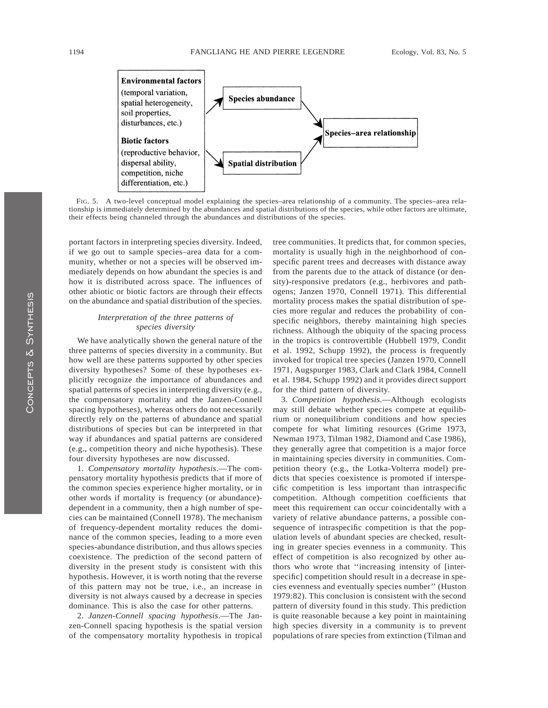

FIG. 5. A two-level conceptual model explaining the species–area relationship of a community. The species–area relationship is immediately determined by the abundances and spatial distributions of the species, while other factors are ultimate, their effects being channeled through the abundances and distributions of the species.

portant factors in interpreting species diversity. Indeed, if we go out to sample species–area data for a community, whether or not a species will be observed immediately depends on how abundant the species is and how it is distributed across space. The influences of other abiotic or biotic factors are through their effects on the abundance and spatial distribution of the species.

# *Interpretation of the three patterns of species diversity*

We have analytically shown the general nature of the three patterns of species diversity in a community. But how well are these patterns supported by other species diversity hypotheses? Some of these hypotheses explicitly recognize the importance of abundances and spatial patterns of species in interpreting diversity (e.g., the compensatory mortality and the Janzen-Connell spacing hypotheses), whereas others do not necessarily directly rely on the patterns of abundance and spatial distributions of species but can be interpreted in that way if abundances and spatial patterns are considered (e.g., competition theory and niche hypothesis). These four diversity hypotheses are now discussed.

1. *Compensatory mortality hypothesis*.—The compensatory mortality hypothesis predicts that if more of the common species experience higher mortality, or in other words if mortality is frequency (or abundance) dependent in a community, then a high number of species can be maintained (Connell 1978). The mechanism of frequency-dependent mortality reduces the dominance of the common species, leading to a more even species-abundance distribution, and thus allows species coexistence. The prediction of the second pattern of diversity in the present study is consistent with this hypothesis. However, it is worth noting that the reverse of this pattern may not be true, i.e., an increase in diversity is not always caused by a decrease in species dominance. This is also the case for other patterns.

2. *Janzen-Connell spacing hypothesis*.—The Janzen-Connell spacing hypothesis is the spatial version of the compensatory mortality hypothesis in tropical

tree communities. It predicts that, for common species, mortality is usually high in the neighborhood of conspecific parent trees and decreases with distance away from the parents due to the attack of distance (or density)-responsive predators (e.g., herbivores and pathogens; Janzen 1970, Connell 1971). This differential mortality process makes the spatial distribution of species more regular and reduces the probability of conspecific neighbors, thereby maintaining high species richness. Although the ubiquity of the spacing process in the tropics is controvertible (Hubbell 1979, Condit et al. 1992, Schupp 1992), the process is frequently invoked for tropical tree species (Janzen 1970, Connell 1971, Augspurger 1983, Clark and Clark 1984, Connell et al. 1984, Schupp 1992) and it provides direct support for the third pattern of diversity.

3. *Competition hypothesis*.—Although ecologists may still debate whether species compete at equilibrium or nonequilibrium conditions and how species compete for what limiting resources (Grime 1973, Newman 1973, Tilman 1982, Diamond and Case 1986), they generally agree that competition is a major force in maintaining species diversity in communities. Competition theory (e.g., the Lotka-Volterra model) predicts that species coexistence is promoted if interspecific competition is less important than intraspecific competition. Although competition coefficients that meet this requirement can occur coincidentally with a variety of relative abundance patterns, a possible consequence of intraspecific competition is that the population levels of abundant species are checked, resulting in greater species evenness in a community. This effect of competition is also recognized by other authors who wrote that ''increasing intensity of [interspecific] competition should result in a decrease in species evenness and eventually species number'' (Huston 1979:82). This conclusion is consistent with the second pattern of diversity found in this study. This prediction is quite reasonable because a key point in maintaining high species diversity in a community is to prevent populations of rare species from extinction (Tilman and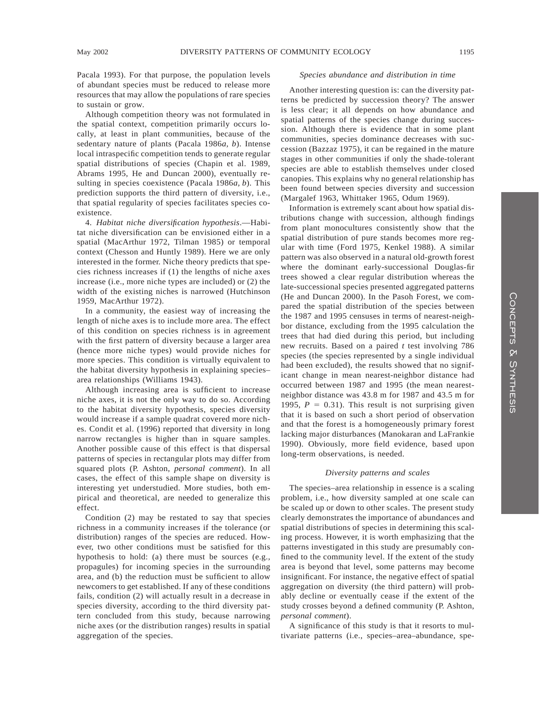Pacala 1993). For that purpose, the population levels of abundant species must be reduced to release more resources that may allow the populations of rare species to sustain or grow.

Although competition theory was not formulated in the spatial context, competition primarily occurs locally, at least in plant communities, because of the sedentary nature of plants (Pacala 1986*a, b*). Intense local intraspecific competition tends to generate regular spatial distributions of species (Chapin et al. 1989, Abrams 1995, He and Duncan 2000), eventually resulting in species coexistence (Pacala 1986*a, b*). This prediction supports the third pattern of diversity, i.e., that spatial regularity of species facilitates species coexistence.

4. *Habitat niche diversification hypothesis*.—Habitat niche diversification can be envisioned either in a spatial (MacArthur 1972, Tilman 1985) or temporal context (Chesson and Huntly 1989). Here we are only interested in the former. Niche theory predicts that species richness increases if (1) the lengths of niche axes increase (i.e., more niche types are included) or (2) the width of the existing niches is narrowed (Hutchinson 1959, MacArthur 1972).

In a community, the easiest way of increasing the length of niche axes is to include more area. The effect of this condition on species richness is in agreement with the first pattern of diversity because a larger area (hence more niche types) would provide niches for more species. This condition is virtually equivalent to the habitat diversity hypothesis in explaining species– area relationships (Williams 1943).

Although increasing area is sufficient to increase niche axes, it is not the only way to do so. According to the habitat diversity hypothesis, species diversity would increase if a sample quadrat covered more niches. Condit et al. (1996) reported that diversity in long narrow rectangles is higher than in square samples. Another possible cause of this effect is that dispersal patterns of species in rectangular plots may differ from squared plots (P. Ashton, *personal comment*). In all cases, the effect of this sample shape on diversity is interesting yet understudied. More studies, both empirical and theoretical, are needed to generalize this effect.

Condition (2) may be restated to say that species richness in a community increases if the tolerance (or distribution) ranges of the species are reduced. However, two other conditions must be satisfied for this hypothesis to hold: (a) there must be sources (e.g., propagules) for incoming species in the surrounding area, and (b) the reduction must be sufficient to allow newcomers to get established. If any of these conditions fails, condition (2) will actually result in a decrease in species diversity, according to the third diversity pattern concluded from this study, because narrowing niche axes (or the distribution ranges) results in spatial aggregation of the species.

#### *Species abundance and distribution in time*

Another interesting question is: can the diversity patterns be predicted by succession theory? The answer is less clear; it all depends on how abundance and spatial patterns of the species change during succession. Although there is evidence that in some plant communities, species dominance decreases with succession (Bazzaz 1975), it can be regained in the mature stages in other communities if only the shade-tolerant species are able to establish themselves under closed canopies. This explains why no general relationship has been found between species diversity and succession (Margalef 1963, Whittaker 1965, Odum 1969).

Information is extremely scant about how spatial distributions change with succession, although findings from plant monocultures consistently show that the spatial distribution of pure stands becomes more regular with time (Ford 1975, Kenkel 1988). A similar pattern was also observed in a natural old-growth forest where the dominant early-successional Douglas-fir trees showed a clear regular distribution whereas the late-successional species presented aggregated patterns (He and Duncan 2000). In the Pasoh Forest, we compared the spatial distribution of the species between the 1987 and 1995 censuses in terms of nearest-neighbor distance, excluding from the 1995 calculation the trees that had died during this period, but including new recruits. Based on a paired *t* test involving 786 species (the species represented by a single individual had been excluded), the results showed that no significant change in mean nearest-neighbor distance had occurred between 1987 and 1995 (the mean nearestneighbor distance was 43.8 m for 1987 and 43.5 m for 1995,  $P = 0.31$ ). This result is not surprising given that it is based on such a short period of observation and that the forest is a homogeneously primary forest lacking major disturbances (Manokaran and LaFrankie 1990). Obviously, more field evidence, based upon long-term observations, is needed.

#### *Diversity patterns and scales*

The species–area relationship in essence is a scaling problem, i.e., how diversity sampled at one scale can be scaled up or down to other scales. The present study clearly demonstrates the importance of abundances and spatial distributions of species in determining this scaling process. However, it is worth emphasizing that the patterns investigated in this study are presumably confined to the community level. If the extent of the study area is beyond that level, some patterns may become insignificant. For instance, the negative effect of spatial aggregation on diversity (the third pattern) will probably decline or eventually cease if the extent of the study crosses beyond a defined community (P. Ashton, *personal comment*).

A significance of this study is that it resorts to multivariate patterns (i.e., species–area–abundance, spe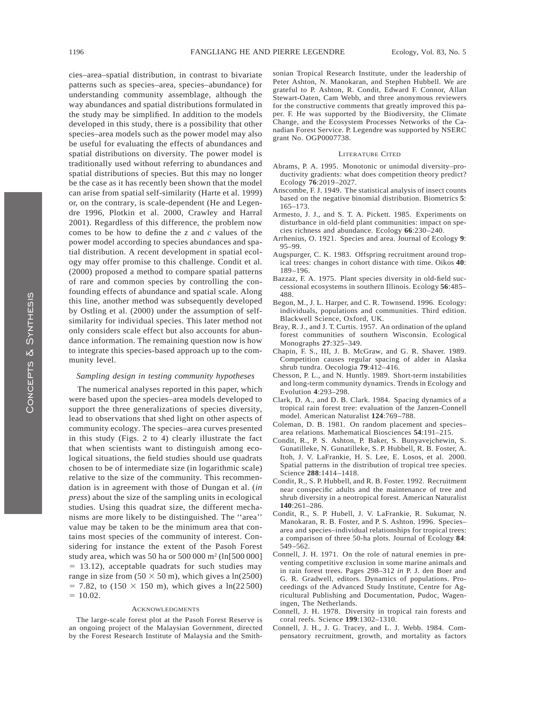cies–area–spatial distribution, in contrast to bivariate patterns such as species–area, species–abundance) for understanding community assemblage, although the way abundances and spatial distributions formulated in the study may be simplified. In addition to the models developed in this study, there is a possibility that other species–area models such as the power model may also be useful for evaluating the effects of abundances and spatial distributions on diversity. The power model is traditionally used without referring to abundances and spatial distributions of species. But this may no longer be the case as it has recently been shown that the model can arise from spatial self-similarity (Harte et al. 1999) or, on the contrary, is scale-dependent (He and Legendre 1996, Plotkin et al. 2000, Crawley and Harral 2001). Regardless of this difference, the problem now comes to be how to define the *z* and *c* values of the power model according to species abundances and spatial distribution. A recent development in spatial ecology may offer promise to this challenge. Condit et al. (2000) proposed a method to compare spatial patterns of rare and common species by controlling the confounding effects of abundance and spatial scale. Along this line, another method was subsequently developed by Ostling et al. (2000) under the assumption of selfsimilarity for individual species. This later method not only considers scale effect but also accounts for abundance information. The remaining question now is how to integrate this species-based approach up to the community level.

#### *Sampling design in testing community hypotheses*

The numerical analyses reported in this paper, which were based upon the species–area models developed to support the three generalizations of species diversity, lead to observations that shed light on other aspects of community ecology. The species–area curves presented in this study (Figs. 2 to 4) clearly illustrate the fact that when scientists want to distinguish among ecological situations, the field studies should use quadrats chosen to be of intermediate size (in logarithmic scale) relative to the size of the community. This recommendation is in agreement with those of Dungan et al. (*in press*) about the size of the sampling units in ecological studies. Using this quadrat size, the different mechanisms are more likely to be distinguished. The ''area'' value may be taken to be the minimum area that contains most species of the community of interest. Considering for instance the extent of the Pasoh Forest study area, which was 50 ha or 500 000 m2 (ln[500 000]  $= 13.12$ ), acceptable quadrats for such studies may range in size from  $(50 \times 50 \text{ m})$ , which gives a ln(2500)  $= 7.82$ , to (150  $\times$  150 m), which gives a ln(22 500)  $= 10.02.$ 

#### **ACKNOWLEDGMENTS**

The large-scale forest plot at the Pasoh Forest Reserve is an ongoing project of the Malaysian Government, directed by the Forest Research Institute of Malaysia and the Smithsonian Tropical Research Institute, under the leadership of Peter Ashton, N. Manokaran, and Stephen Hubbell. We are grateful to P. Ashton, R. Condit, Edward F. Connor, Allan Stewart-Oaten, Cam Webb, and three anonymous reviewers for the constructive comments that greatly improved this paper. F. He was supported by the Biodiversity, the Climate Change, and the Ecosystem Processes Networks of the Canadian Forest Service. P. Legendre was supported by NSERC grant No. OGP0007738.

#### LITERATURE CITED

- Abrams, P. A. 1995. Monotonic or unimodal diversity–productivity gradients: what does competition theory predict? Ecology **76**:2019–2027.
- Anscombe, F. J. 1949. The statistical analysis of insect counts based on the negative binomial distribution. Biometrics **5**: 165–173.
- Armesto, J. J., and S. T. A. Pickett. 1985. Experiments on disturbance in old-field plant communities: impact on species richness and abundance. Ecology **66**:230–240.
- Arrhenius, O. 1921. Species and area. Journal of Ecology **9**: 95–99.
- Augspurger, C. K. 1983. Offspring recruitment around tropical trees: changes in cohort distance with time. Oikos **40**: 189–196.
- Bazzaz, F. A. 1975. Plant species diversity in old-field successional ecosystems in southern Illinois. Ecology **56**:485– 488.
- Begon, M., J. L. Harper, and C. R. Townsend. 1996. Ecology: individuals, populations and communities. Third edition. Blackwell Science, Oxford, UK.
- Bray, R. J., and J. T. Curtis. 1957. An ordination of the upland forest communities of southern Wisconsin. Ecological Monographs **27**:325–349.
- Chapin, F. S., III, J. B. McGraw, and G. R. Shaver. 1989. Competition causes regular spacing of alder in Alaska shrub tundra. Oecologia **79**:412–416.
- Chesson, P. L., and N. Huntly. 1989. Short-term instabilities and long-term community dynamics. Trends in Ecology and Evolution **4**:293–298.
- Clark, D. A., and D. B. Clark. 1984. Spacing dynamics of a tropical rain forest tree: evaluation of the Janzen-Connell model. American Naturalist **124**:769–788.
- Coleman, D. B. 1981. On random placement and species– area relations. Mathematical Biosciences **54**:191–215.
- Condit, R., P. S. Ashton, P. Baker, S. Bunyavejchewin, S. Gunatilleke, N. Gunatilleke, S. P. Hubbell, R. B. Foster, A. Itoh, J. V. LaFrankie, H. S. Lee, E. Losos, et al. 2000. Spatial patterns in the distribution of tropical tree species. Science **288**:1414–1418.
- Condit, R., S. P. Hubbell, and R. B. Foster. 1992. Recruitment near conspecific adults and the maintenance of tree and shrub diversity in a neotropical forest. American Naturalist **140**:261–286.
- Condit, R., S. P. Hubell, J. V. LaFrankie, R. Sukumar, N. Manokaran, R. B. Foster, and P. S. Ashton. 1996. Species– area and species–individual relationships for tropical trees: a comparison of three 50-ha plots. Journal of Ecology **84**: 549–562.
- Connell, J. H. 1971. On the role of natural enemies in preventing competitive exclusion in some marine animals and in rain forest trees. Pages 298–312 *in* P. J. den Boer and G. R. Gradwell, editors. Dynamics of populations. Proceedings of the Advanced Study Institute, Centre for Agricultural Publishing and Documentation, Pudoc, Wageningen, The Netherlands.
- Connell, J. H. 1978. Diversity in tropical rain forests and coral reefs. Science **199**:1302–1310.
- Connell, J. H., J. G. Tracey, and L. J. Webb. 1984. Compensatory recruitment, growth, and mortality as factors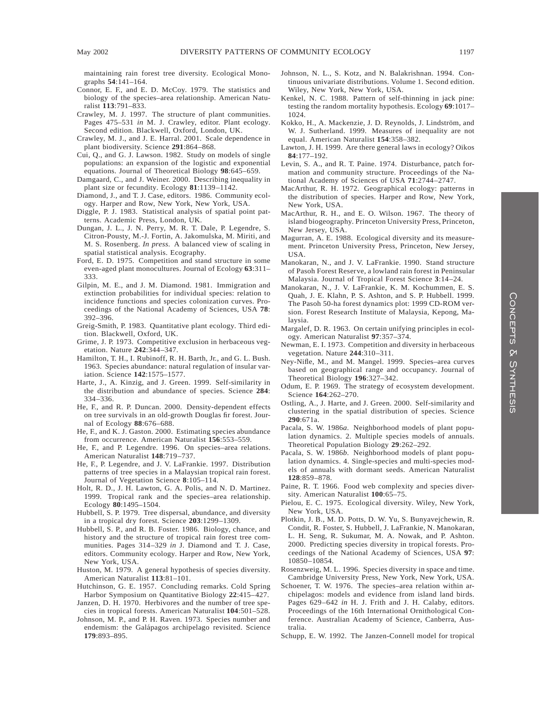maintaining rain forest tree diversity. Ecological Monographs **54**:141–164.

- Connor, E. F., and E. D. McCoy. 1979. The statistics and biology of the species–area relationship. American Naturalist **113**:791–833.
- Crawley, M. J. 1997. The structure of plant communities. Pages 475–531 *in* M. J. Crawley, editor. Plant ecology. Second edition. Blackwell, Oxford, London, UK.
- Crawley, M. J., and J. E. Harral. 2001. Scale dependence in plant biodiversity. Science **291**:864–868.
- Cui, Q., and G. J. Lawson. 1982. Study on models of single populations: an expansion of the logistic and exponential equations. Journal of Theoretical Biology **98**:645–659.
- Damgaard, C., and J. Weiner. 2000. Describing inequality in plant size or fecundity. Ecology **81**:1139–1142.
- Diamond, J., and T. J. Case, editors. 1986. Community ecology. Harper and Row, New York, New York, USA.
- Diggle, P. J. 1983. Statistical analysis of spatial point patterns. Academic Press, London, UK.
- Dungan, J. L., J. N. Perry, M. R. T. Dale, P. Legendre, S. Citron-Pousty, M.-J. Fortin, A. Jakomulska, M. Miriti, and M. S. Rosenberg. *In press*. A balanced view of scaling in spatial statistical analysis. Ecography.
- Ford, E. D. 1975. Competition and stand structure in some even-aged plant monocultures. Journal of Ecology **63**:311– 333.
- Gilpin, M. E., and J. M. Diamond. 1981. Immigration and extinction probabilities for individual species: relation to incidence functions and species colonization curves. Proceedings of the National Academy of Sciences, USA **78**: 392–396.
- Greig-Smith, P. 1983. Quantitative plant ecology. Third edition. Blackwell, Oxford, UK.
- Grime, J. P. 1973. Competitive exclusion in herbaceous vegetation. Nature **242**:344–347.
- Hamilton, T. H., I. Rubinoff, R. H. Barth, Jr., and G. L. Bush. 1963. Species abundance: natural regulation of insular variation. Science **142**:1575–1577.
- Harte, J., A. Kinzig, and J. Green. 1999. Self-similarity in the distribution and abundance of species. Science **284**: 334–336.
- He, F., and R. P. Duncan. 2000. Density-dependent effects on tree survivals in an old-growth Douglas fir forest. Journal of Ecology **88**:676–688.
- He, F., and K. J. Gaston. 2000. Estimating species abundance from occurrence. American Naturalist **156**:553–559.
- He, F., and P. Legendre. 1996. On species–area relations. American Naturalist **148**:719–737.
- He, F., P. Legendre, and J. V. LaFrankie. 1997. Distribution patterns of tree species in a Malaysian tropical rain forest. Journal of Vegetation Science **8**:105–114.
- Holt, R. D., J. H. Lawton, G. A. Polis, and N. D. Martinez. 1999. Tropical rank and the species–area relationship. Ecology **80**:1495–1504.
- Hubbell, S. P. 1979. Tree dispersal, abundance, and diversity in a tropical dry forest. Science **203**:1299–1309.
- Hubbell, S. P., and R. B. Foster. 1986. Biology, chance, and history and the structure of tropical rain forest tree communities. Pages 314–329 *in* J. Diamond and T. J. Case, editors. Community ecology. Harper and Row, New York, New York, USA.
- Huston, M. 1979. A general hypothesis of species diversity. American Naturalist **113**:81–101.
- Hutchinson, G. E. 1957. Concluding remarks. Cold Spring Harbor Symposium on Quantitative Biology **22**:415–427.
- Janzen, D. H. 1970. Herbivores and the number of tree species in tropical forests. American Naturalist **104**:501–528.
- Johnson, M. P., and P. H. Raven. 1973. Species number and endemism: the Galápagos archipelago revisited. Science **179**:893–895.
- Johnson, N. L., S. Kotz, and N. Balakrishnan. 1994. Continuous univariate distributions. Volume 1. Second edition. Wiley, New York, New York, USA.
- Kenkel, N. C. 1988. Pattern of self-thinning in jack pine: testing the random mortality hypothesis. Ecology **69**:1017– 1024.
- Kokko, H., A. Mackenzie, J. D. Reynolds, J. Lindström, and W. J. Sutherland. 1999. Measures of inequality are not equal. American Naturalist **154**:358–382.
- Lawton, J. H. 1999. Are there general laws in ecology? Oikos **84**:177–192.
- Levin, S. A., and R. T. Paine. 1974. Disturbance, patch formation and community structure. Proceedings of the National Academy of Sciences of USA **71**:2744–2747.
- MacArthur, R. H. 1972. Geographical ecology: patterns in the distribution of species. Harper and Row, New York, New York, USA.
- MacArthur, R. H., and E. O. Wilson. 1967. The theory of island biogeography. Princeton University Press, Princeton, New Jersey, USA.
- Magurran, A. E. 1988. Ecological diversity and its measurement. Princeton University Press, Princeton, New Jersey, USA.
- Manokaran, N., and J. V. LaFrankie. 1990. Stand structure of Pasoh Forest Reserve, a lowland rain forest in Peninsular Malaysia. Journal of Tropical Forest Science **3**:14–24.
- Manokaran, N., J. V. LaFrankie, K. M. Kochummen, E. S. Quah, J. E. Klahn, P. S. Ashton, and S. P. Hubbell. 1999. The Pasoh 50-ha forest dynamics plot: 1999 CD-ROM version. Forest Research Institute of Malaysia, Kepong, Malaysia.
- Margalef, D. R. 1963. On certain unifying principles in ecology. American Naturalist **97**:357–374.
- Newman, E. I. 1973. Competition and diversity in herbaceous vegetation. Nature **244**:310–311.
- Ney-Nifle, M., and M. Mangel. 1999. Species–area curves based on geographical range and occupancy. Journal of Theoretical Biology **196**:327–342.
- Odum, E. P. 1969. The strategy of ecosystem development. Science **164**:262–270.
- Ostling, A., J. Harte, and J. Green. 2000. Self-similarity and clustering in the spatial distribution of species. Science **290**:671a.
- Pacala, S. W. 1986*a*. Neighborhood models of plant population dynamics. 2. Multiple species models of annuals. Theoretical Population Biology **29**:262–292.
- Pacala, S. W. 1986*b*. Neighborhood models of plant population dynamics. 4. Single-species and multi-species models of annuals with dormant seeds. American Naturalist **128**:859–878.
- Paine, R. T. 1966. Food web complexity and species diversity. American Naturalist **100**:65–75.
- Pielou, E. C. 1975. Ecological diversity. Wiley, New York, New York, USA.
- Plotkin, J. B., M. D. Potts, D. W. Yu, S. Bunyavejchewin, R. Condit, R. Foster, S. Hubbell, J. LaFrankie, N. Manokaran, L. H. Seng, R. Sukumar, M. A. Nowak, and P. Ashton. 2000. Predicting species diversity in tropical forests. Proceedings of the National Academy of Sciences, USA **97**: 10850–10854.
- Rosenzweig, M. L. 1996. Species diversity in space and time. Cambridge University Press, New York, New York, USA.
- Schoener, T. W. 1976. The species–area relation within archipelagos: models and evidence from island land birds. Pages 629–642 *in* H. J. Frith and J. H. Calaby, editors. Proceedings of the 16th International Ornithological Conference. Australian Academy of Science, Canberra, Australia.
- Schupp, E. W. 1992. The Janzen-Connell model for tropical